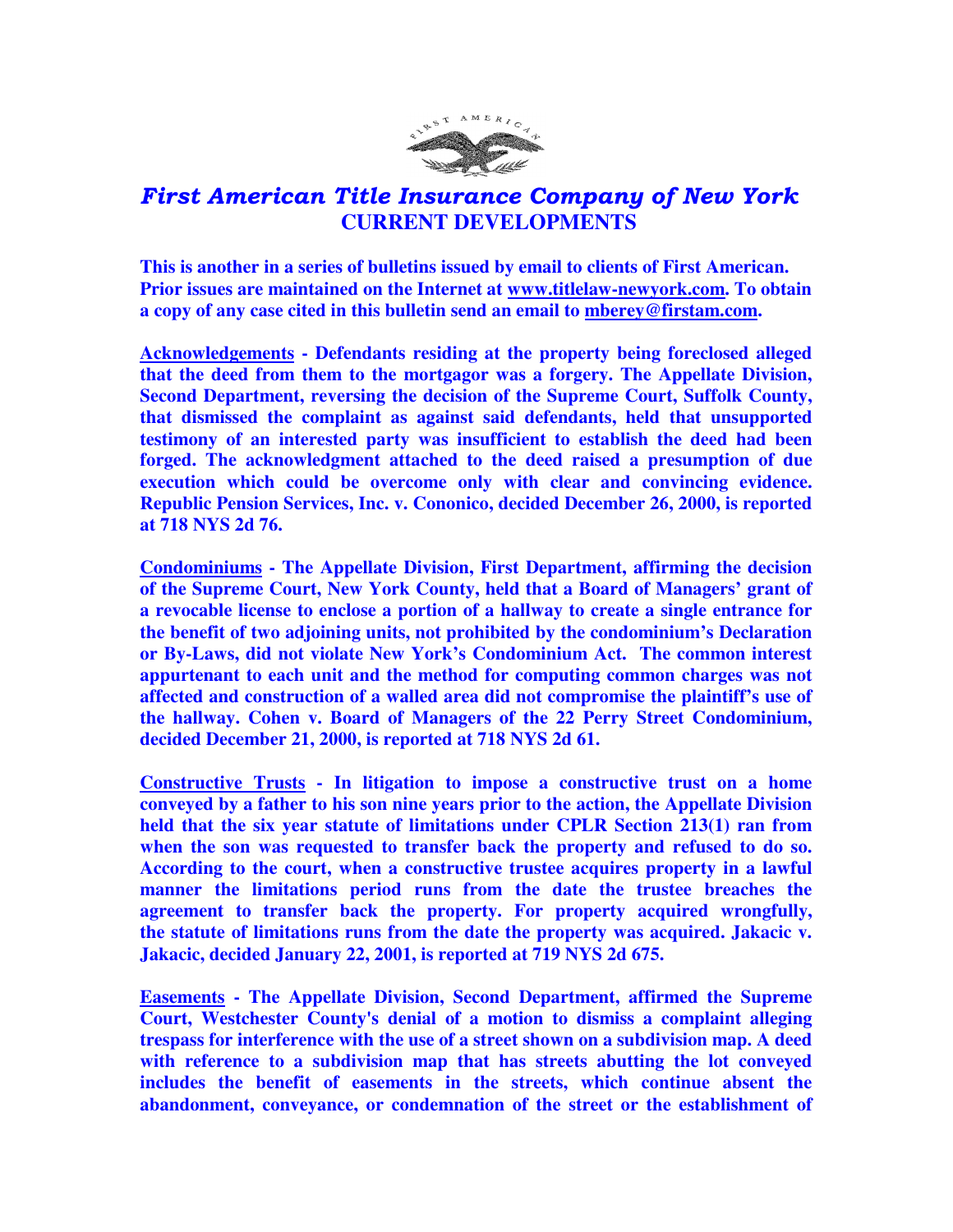

## First American Title Insurance Company of New York  **CURRENT DEVELOPMENTS**

**This is another in a series of bulletins issued by email to clients of First American. Prior issues are maintained on the Internet at www.titlelaw-newyork.com. To obtain a copy of any case cited in this bulletin send an email to mberey@firstam.com.** 

**Acknowledgements - Defendants residing at the property being foreclosed alleged that the deed from them to the mortgagor was a forgery. The Appellate Division, Second Department, reversing the decision of the Supreme Court, Suffolk County, that dismissed the complaint as against said defendants, held that unsupported testimony of an interested party was insufficient to establish the deed had been forged. The acknowledgment attached to the deed raised a presumption of due execution which could be overcome only with clear and convincing evidence. Republic Pension Services, Inc. v. Cononico, decided December 26, 2000, is reported at 718 NYS 2d 76.** 

**Condominiums - The Appellate Division, First Department, affirming the decision of the Supreme Court, New York County, held that a Board of Managers' grant of a revocable license to enclose a portion of a hallway to create a single entrance for the benefit of two adjoining units, not prohibited by the condominium's Declaration or By-Laws, did not violate New York's Condominium Act. The common interest appurtenant to each unit and the method for computing common charges was not affected and construction of a walled area did not compromise the plaintiff's use of the hallway. Cohen v. Board of Managers of the 22 Perry Street Condominium, decided December 21, 2000, is reported at 718 NYS 2d 61.** 

**Constructive Trusts - In litigation to impose a constructive trust on a home conveyed by a father to his son nine years prior to the action, the Appellate Division held that the six year statute of limitations under CPLR Section 213(1) ran from when the son was requested to transfer back the property and refused to do so. According to the court, when a constructive trustee acquires property in a lawful manner the limitations period runs from the date the trustee breaches the agreement to transfer back the property. For property acquired wrongfully, the statute of limitations runs from the date the property was acquired. Jakacic v. Jakacic, decided January 22, 2001, is reported at 719 NYS 2d 675.** 

**Easements - The Appellate Division, Second Department, affirmed the Supreme Court, Westchester County's denial of a motion to dismiss a complaint alleging trespass for interference with the use of a street shown on a subdivision map. A deed with reference to a subdivision map that has streets abutting the lot conveyed includes the benefit of easements in the streets, which continue absent the abandonment, conveyance, or condemnation of the street or the establishment of**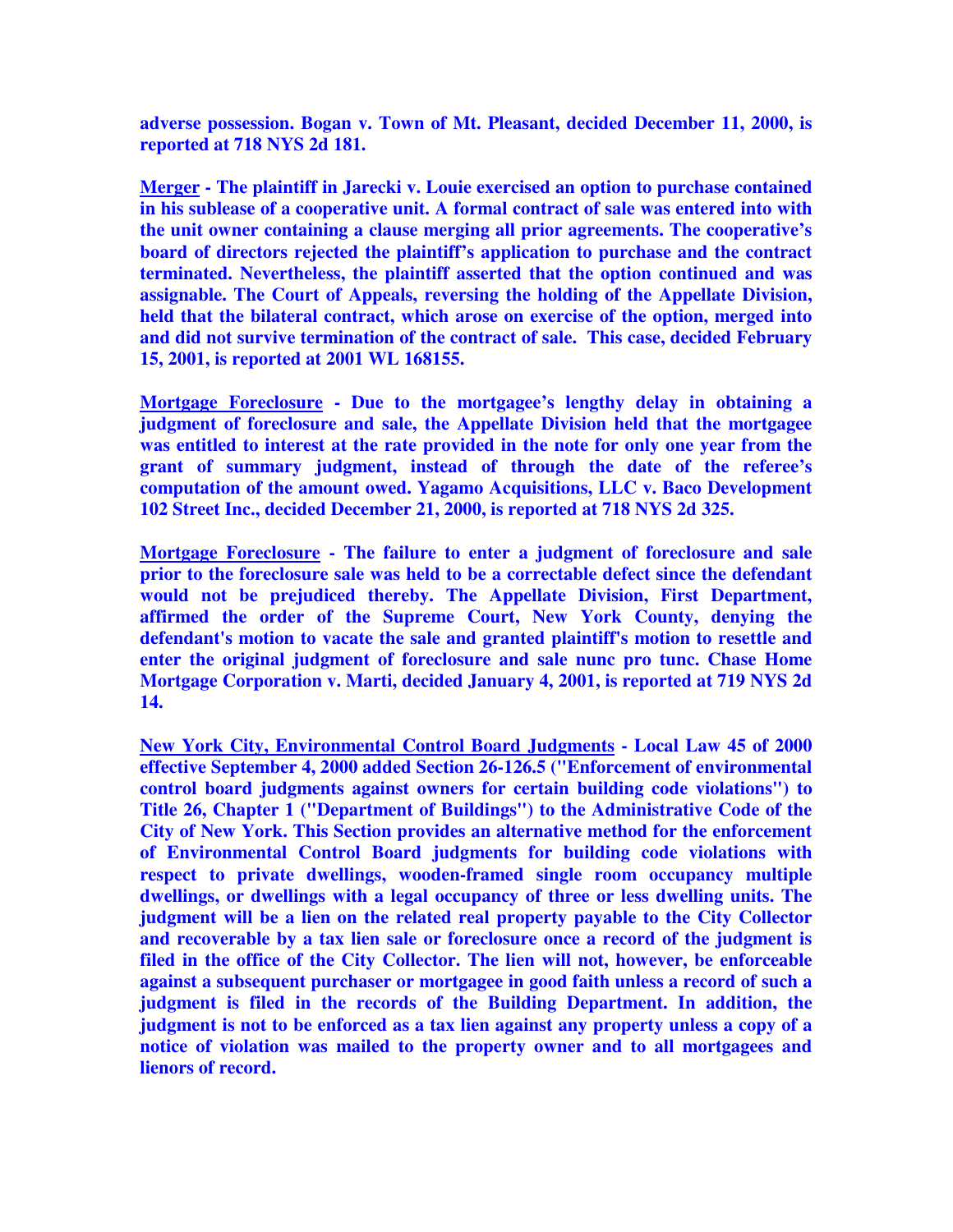**adverse possession. Bogan v. Town of Mt. Pleasant, decided December 11, 2000, is reported at 718 NYS 2d 181.** 

**Merger - The plaintiff in Jarecki v. Louie exercised an option to purchase contained in his sublease of a cooperative unit. A formal contract of sale was entered into with the unit owner containing a clause merging all prior agreements. The cooperative's board of directors rejected the plaintiff's application to purchase and the contract terminated. Nevertheless, the plaintiff asserted that the option continued and was assignable. The Court of Appeals, reversing the holding of the Appellate Division, held that the bilateral contract, which arose on exercise of the option, merged into and did not survive termination of the contract of sale. This case, decided February 15, 2001, is reported at 2001 WL 168155.** 

**Mortgage Foreclosure - Due to the mortgagee's lengthy delay in obtaining a judgment of foreclosure and sale, the Appellate Division held that the mortgagee was entitled to interest at the rate provided in the note for only one year from the grant of summary judgment, instead of through the date of the referee's computation of the amount owed. Yagamo Acquisitions, LLC v. Baco Development 102 Street Inc., decided December 21, 2000, is reported at 718 NYS 2d 325.** 

**Mortgage Foreclosure - The failure to enter a judgment of foreclosure and sale prior to the foreclosure sale was held to be a correctable defect since the defendant would not be prejudiced thereby. The Appellate Division, First Department, affirmed the order of the Supreme Court, New York County, denying the defendant's motion to vacate the sale and granted plaintiff's motion to resettle and enter the original judgment of foreclosure and sale nunc pro tunc. Chase Home Mortgage Corporation v. Marti, decided January 4, 2001, is reported at 719 NYS 2d 14.** 

**New York City, Environmental Control Board Judgments - Local Law 45 of 2000 effective September 4, 2000 added Section 26-126.5 ("Enforcement of environmental control board judgments against owners for certain building code violations") to Title 26, Chapter 1 ("Department of Buildings") to the Administrative Code of the City of New York. This Section provides an alternative method for the enforcement of Environmental Control Board judgments for building code violations with respect to private dwellings, wooden-framed single room occupancy multiple dwellings, or dwellings with a legal occupancy of three or less dwelling units. The judgment will be a lien on the related real property payable to the City Collector and recoverable by a tax lien sale or foreclosure once a record of the judgment is filed in the office of the City Collector. The lien will not, however, be enforceable against a subsequent purchaser or mortgagee in good faith unless a record of such a judgment is filed in the records of the Building Department. In addition, the judgment is not to be enforced as a tax lien against any property unless a copy of a notice of violation was mailed to the property owner and to all mortgagees and lienors of record.**